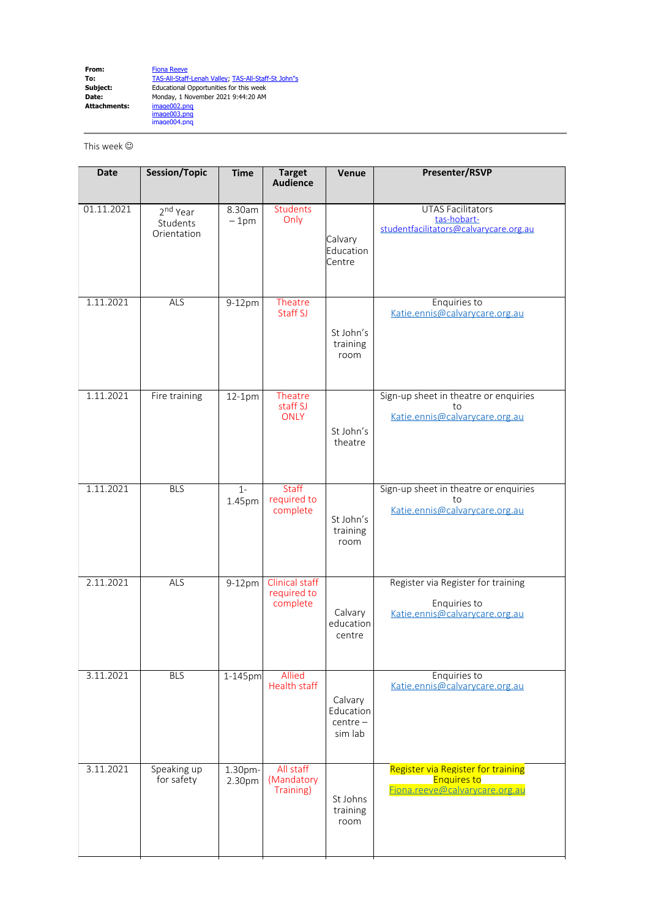**From:** [Fiona Reeve](mailto:Fiona.Reeve@calvarycare.org.au) **To:** [TAS-All-Staff-Lenah Valley](mailto:TAS-All-Staff-LenahValley@calvarycare.org.au); [TAS-All-Staff-St John"s](mailto:TAS-All-Staff-StJohn"s@calvarycare.org.au) **Subject:** Educational Opportunities for this week **Date:** Monday, 1 November 2021 9:44:20 AM **Date:<br>Attachments:** image003.png image004.png

This week  $\odot$ 

| <b>Date</b> | Session/Topic                                   | <b>Time</b>       | <b>Target</b><br><b>Audience</b>          | Venue                                         | Presenter/RSVP                                                                             |
|-------------|-------------------------------------------------|-------------------|-------------------------------------------|-----------------------------------------------|--------------------------------------------------------------------------------------------|
| 01.11.2021  | 2 <sup>nd</sup> Year<br>Students<br>Orientation | 8.30am<br>$-1pm$  | Students<br>Only                          | Calvary<br>Education<br>Centre                | <b>UTAS Facilitators</b><br>tas-hobart-<br>studentfacilitators@calvarycare.org.au          |
| 1.11.2021   | <b>ALS</b>                                      | 9-12pm            | Theatre<br>Staff SJ                       | St John's<br>training<br>room                 | Enquiries to<br>Katie.ennis@calvarycare.org.au                                             |
| 1.11.2021   | Fire training                                   | 12-1pm            | Theatre<br>staff SJ<br><b>ONLY</b>        | St John's<br>theatre                          | Sign-up sheet in theatre or enquiries<br>to<br>Katie.ennis@calvarycare.org.au              |
| 1.11.2021   | <b>BLS</b>                                      | $1-$<br>1.45pm    | Staff<br>required to<br>complete          | St John's<br>training<br>room                 | Sign-up sheet in theatre or enquiries<br>to<br>Katie.ennis@calvarycare.org.au              |
| 2.11.2021   | ALS                                             | 9-12pm            | Clinical staff<br>required to<br>complete | Calvary<br>education<br>centre                | Register via Register for training<br>Enquiries to<br>Katie.ennis@calvarycare.org.au       |
| 3.11.2021   | <b>BLS</b>                                      | 1-145pm           | <b>Allied</b><br><b>Health staff</b>      | Calvary<br>Education<br>$centre -$<br>sim lab | Enquiries to<br>Katie.ennis@calvarycare.org.au                                             |
| 3.11.2021   | Speaking up<br>for safety                       | 1.30pm-<br>2.30pm | All staff<br>(Mandatory<br>Training)      | St Johns<br>training<br>room                  | Register via Register for training<br><b>Enquires to</b><br>Fiona.reeve@calvarycare.org.au |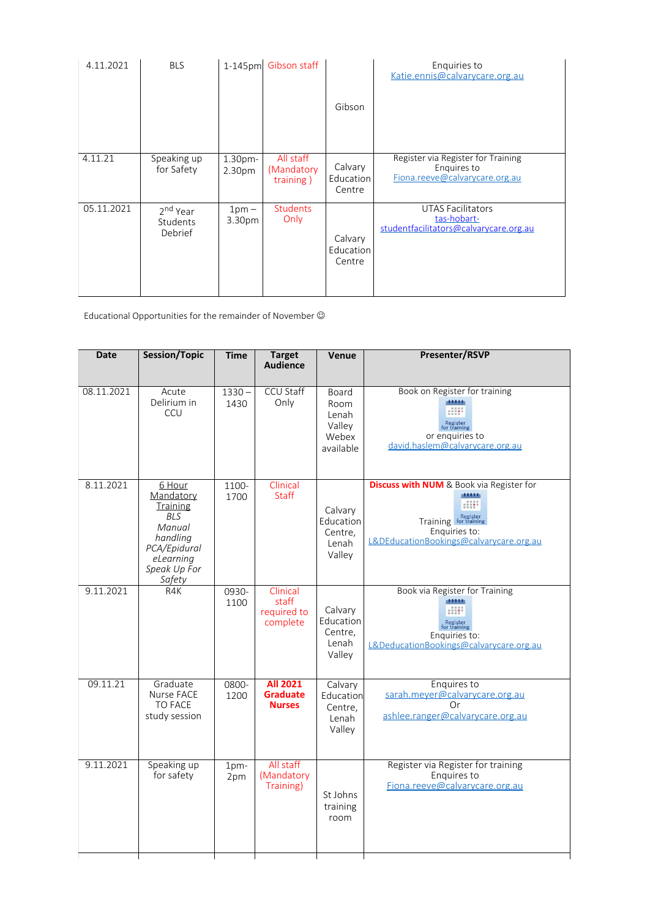| 4.11.2021  | <b>BLS</b>                                  | 1-145pm                       | Gibson staff                         | Gibson                         | Enquiries to<br>Katie.ennis@calvarycare.org.au                                      |
|------------|---------------------------------------------|-------------------------------|--------------------------------------|--------------------------------|-------------------------------------------------------------------------------------|
| 4.11.21    | Speaking up<br>for Safety                   | 1.30pm-<br>2.30 <sub>pm</sub> | All staff<br>(Mandatory<br>training) | Calvary<br>Education<br>Centre | Register via Register for Training<br>Enquires to<br>Fiona.reeve@calvarycare.org.au |
| 05.11.2021 | 2 <sup>nd</sup> Year<br>Students<br>Debrief | $1pm -$<br>3.30pm             | <b>Students</b><br>Only              | Calvary<br>Education<br>Centre | <b>UTAS Facilitators</b><br>tas-hobart-<br>studentfacilitators@calvarycare.org.au   |

Educational Opportunities for the remainder of November  $\odot$ 

| <b>Date</b> | Session/Topic                                                                                                              | <b>Time</b>      | <b>Target</b><br><b>Audience</b>                    | Venue                                                  | <b>Presenter/RSVP</b>                                                                                                                                |
|-------------|----------------------------------------------------------------------------------------------------------------------------|------------------|-----------------------------------------------------|--------------------------------------------------------|------------------------------------------------------------------------------------------------------------------------------------------------------|
| 08.11.2021  | Acute<br>Delirium in<br>CCU                                                                                                | $1330 -$<br>1430 | <b>CCU Staff</b><br>Only                            | Board<br>Room<br>Lenah<br>Valley<br>Webex<br>available | Book on Register for training<br>dititi<br>HH.<br>Register<br>for training<br>or enquiries to<br>david.haslem@calvarycare.org.au                     |
| 8.11.2021   | 6 Hour<br>Mandatory<br>Training<br><b>BLS</b><br>Manual<br>handling<br>PCA/Epidural<br>eLearning<br>Speak Up For<br>Safety | 1100-<br>1700    | Clinical<br><b>Staff</b>                            | Calvary<br>Education<br>Centre.<br>Lenah<br>Valley     | <b>Discuss with NUM</b> & Book via Register for<br>11111<br>HH.<br>Training for training<br>Enquiries to:<br>L&DEducationBookings@calvarycare.org.au |
| 9.11.2021   | R4K                                                                                                                        | 0930-<br>1100    | Clinical<br>staff<br>required to<br>complete        | Calvary<br>Education<br>Centre,<br>Lenah<br>Valley     | Book via Register for Training<br>11111<br>Register<br>for training<br>Enquiries to:<br>L&DeducationBookings@calvarycare.org.au                      |
| 09.11.21    | Graduate<br>Nurse FACE<br><b>TO FACE</b><br>study session                                                                  | 0800-<br>1200    | <b>All 2021</b><br><b>Graduate</b><br><b>Nurses</b> | Calvary<br>Education<br>Centre,<br>Lenah<br>Valley     | Enquires to<br>sarah.meyer@calvarycare.org.au<br>Or<br>ashlee.ranger@calvarycare.org.au                                                              |
| 9.11.2021   | Speaking up<br>for safety                                                                                                  | 1pm-<br>2pm      | All staff<br>(Mandatory<br>Training)                | St Johns<br>training<br>room                           | Register via Register for training<br>Enquires to<br>Fiona.reeve@calvarycare.org.au                                                                  |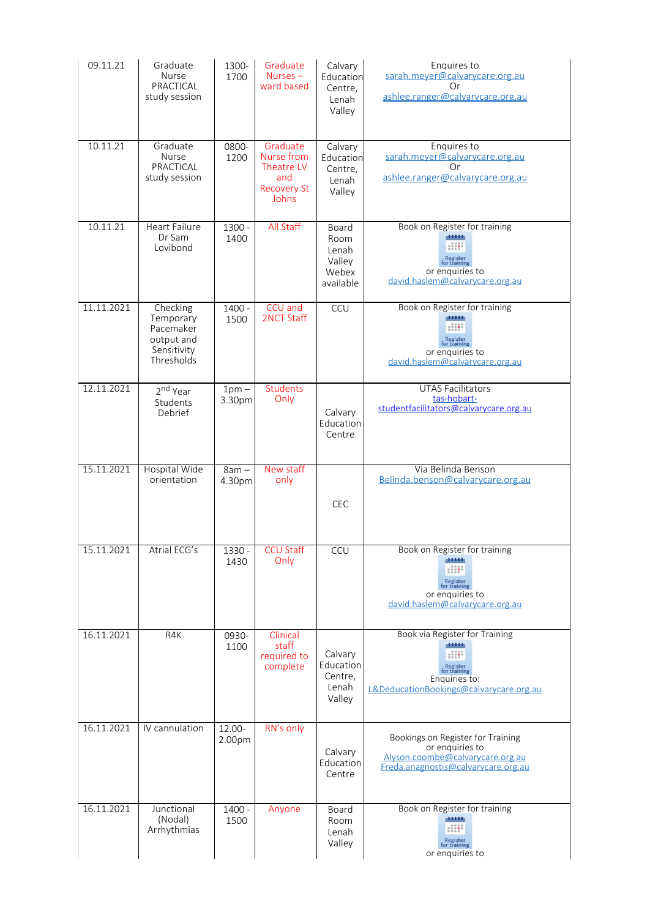| 09.11.21   | Graduate<br>Nurse<br>PRACTICAL<br>study session                               | 1300-<br>1700     | Graduate<br>Nurses $-$<br>ward based                                       | Calvary<br>Education<br>Centre,<br>Lenah<br>Valley     | Enquires to<br>sarah.meyer@calvarycare.org.au<br>Or<br>ashlee.ranger@calvarycare.org.au                                          |
|------------|-------------------------------------------------------------------------------|-------------------|----------------------------------------------------------------------------|--------------------------------------------------------|----------------------------------------------------------------------------------------------------------------------------------|
| 10.11.21   | Graduate<br>Nurse<br>PRACTICAL<br>study session                               | 0800-<br>1200     | Graduate<br>Nurse from<br>Theatre LV<br>and<br><b>Recovery St</b><br>Johns | Calvary<br>Education<br>Centre,<br>Lenah<br>Valley     | Enquires to<br>sarah.meyer@calvarycare.org.au<br>Or<br>ashlee.ranger@calvarycare.org.au                                          |
| 10.11.21   | <b>Heart Failure</b><br>Dr Sam<br>Lovibond                                    | 1300 -<br>1400    | All Staff                                                                  | Board<br>Room<br>Lenah<br>Valley<br>Webex<br>available | Book on Register for training<br>dititib.<br>Register<br>for training<br>or enquiries to<br>david.haslem@calvarycare.org.au      |
| 11.11.2021 | Checking<br>Temporary<br>Pacemaker<br>output and<br>Sensitivity<br>Thresholds | $1400 -$<br>1500  | CCU and<br><b>2NCT Staff</b>                                               | CCU                                                    | Book on Register for training<br>dititib.<br>Register<br>for training<br>or enquiries to<br>david.haslem@calvarycare.org.au      |
| 12.11.2021 | 2 <sup>nd</sup> Year<br>Students<br>Debrief                                   | $1pm -$<br>3.30pm | <b>Students</b><br>Only                                                    | Calvary<br>Education<br>Centre                         | <b>UTAS Facilitators</b><br>tas-hobart-<br>studentfacilitators@calvarycare.org.au                                                |
| 15.11.2021 | Hospital Wide<br>orientation                                                  | $8am -$<br>4.30pm | New staff<br>only                                                          | CEC                                                    | Via Belinda Benson<br>Belinda.benson@calvarycare.org.au                                                                          |
| 15.11.2021 | Atrial ECG's                                                                  | 1330 -<br>1430    | <b>CCU Staff</b><br>Only                                                   | CCU                                                    | Book on Register for training<br>44446<br>Register<br>for training<br>or enquiries to<br>david.haslem@calvarycare.org.au         |
| 16.11.2021 | R4K                                                                           | 0930-<br>1100     | Clinical<br>staff<br>required to<br>complete                               | Calvary<br>Education<br>Centre,<br>Lenah<br>Valley     | Book via Register for Training<br>dititi<br>Register<br>for training<br>Enquiries to:<br>L&DeducationBookings@calvarycare.org.au |
| 16.11.2021 | IV cannulation                                                                | 12.00-<br>2.00pm  | RN's only                                                                  | Calvary<br>Education<br>Centre                         | Bookings on Register for Training<br>or enquiries to<br>Alyson.coombe@calvarycare.org.au<br>Freda.anagnostis@calvarycare.org.au  |
| 16.11.2021 | Junctional<br>(Nodal)<br>Arrhythmias                                          | $1400 -$<br>1500  | Anyone                                                                     | Board<br>Room<br>Lenah                                 | Book on Register for training<br>11111<br><b>SILE</b>                                                                            |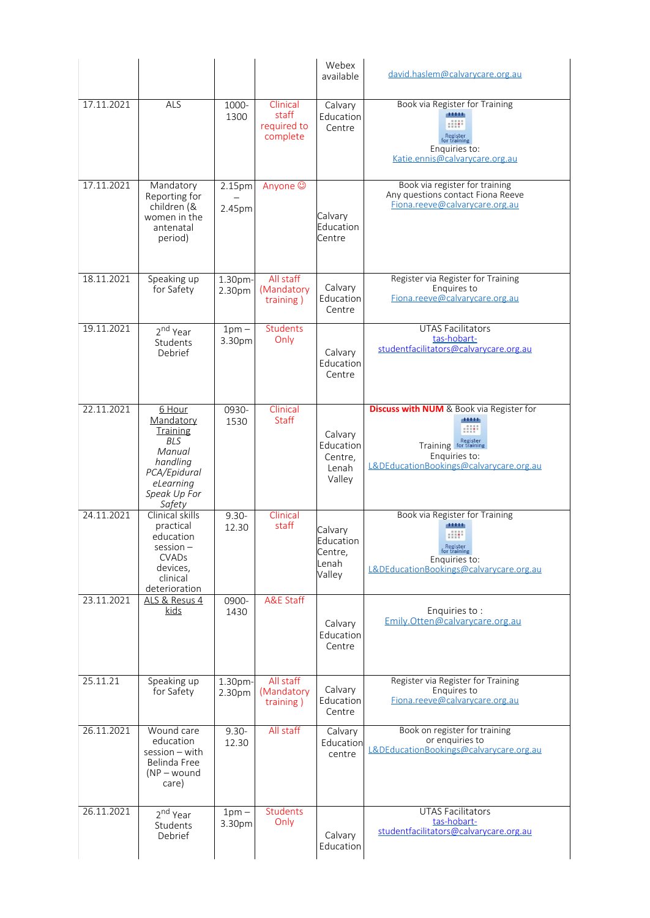|            |                                                                                                                                   |                   |                                              | Webex<br>available                                 | david.haslem@calvarycare.org.au                                                                                                          |
|------------|-----------------------------------------------------------------------------------------------------------------------------------|-------------------|----------------------------------------------|----------------------------------------------------|------------------------------------------------------------------------------------------------------------------------------------------|
| 17.11.2021 | <b>ALS</b>                                                                                                                        | 1000-<br>1300     | Clinical<br>staff<br>required to<br>complete | Calvary<br>Education<br>Centre                     | Book via Register for Training<br>dititi<br>: 1111<br>Register<br>for training<br>Enquiries to:<br>Katie.ennis@calvarycare.org.au        |
| 17.11.2021 | Mandatory<br>Reporting for<br>children (&<br>women in the<br>antenatal<br>period)                                                 | 2.15pm<br>2.45pm  | Anyone ©                                     | Calvary<br>Education<br>Centre                     | Book via register for training<br>Any questions contact Fiona Reeve<br>Fiona.reeve@calvarycare.org.au                                    |
| 18.11.2021 | Speaking up<br>for Safety                                                                                                         | 1.30pm-<br>2.30pm | All staff<br>(Mandatory<br>training)         | Calvary<br>Education<br>Centre                     | Register via Register for Training<br>Enquires to<br>Fiona.reeve@calvarycare.org.au                                                      |
| 19.11.2021 | 2 <sup>nd</sup> Year<br>Students<br>Debrief                                                                                       | $1pm -$<br>3.30pm | <b>Students</b><br>Only                      | Calvary<br>Education<br>Centre                     | <b>UTAS Facilitators</b><br>tas-hobart-<br>studentfacilitators@calvarycare.org.au                                                        |
| 22.11.2021 | 6 Hour<br>Mandatory<br><b>Training</b><br><b>BLS</b><br>Manual<br>handling<br>PCA/Epidural<br>eLearning<br>Speak Up For<br>Safety | 0930-<br>1530     | Clinical<br><b>Staff</b>                     | Calvary<br>Education<br>Centre,<br>Lenah<br>Valley | <b>Discuss with NUM</b> & Book via Register for<br>4444<br>Training Register<br>Enquiries to:<br>L&DEducationBookings@calvarycare.org.au |
| 24.11.2021 | Clinical skills<br>practical<br>education<br>$session -$<br>CVADs<br>devices,<br>clinical<br>deterioration                        | $9.30 -$<br>12.30 | Clinical<br>staff                            | Calvary<br>Education<br>Centre,<br>Lenah<br>Valley | Book via Register for Training<br>44444<br>HH:<br>Register<br>for training<br>Enquiries to:<br>L&DEducationBookings@calvarycare.org.au   |
| 23.11.2021 | ALS & Resus 4<br><u>kids</u>                                                                                                      | 0900-<br>1430     | <b>A&amp;E Staff</b>                         | Calvary<br>Education<br>Centre                     | Enquiries to:<br>Emily.Otten@calvarycare.org.au                                                                                          |
| 25.11.21   | Speaking up<br>for Safety                                                                                                         | 1.30pm-<br>2.30pm | All staff<br>(Mandatory<br>training)         | Calvary<br>Education<br>Centre                     | Register via Register for Training<br>Enquires to<br>Fiona.reeve@calvarycare.org.au                                                      |
| 26.11.2021 | Wound care<br>education<br>session - with<br>Belinda Free<br>$(NP - wound)$<br>care)                                              | $9.30 -$<br>12.30 | All staff                                    | Calvary<br>Education<br>centre                     | Book on register for training<br>or enquiries to<br>L&DEducationBookings@calvarycare.org.au                                              |
| 26.11.2021 | 2 <sup>nd</sup> Year<br>Students<br>Debrief                                                                                       | $1pm -$<br>3.30pm | Students<br>Only                             | Calvary<br>Education                               | <b>UTAS Facilitators</b><br>tas-hobart-<br>studentfacilitators@calvarycare.org.au                                                        |